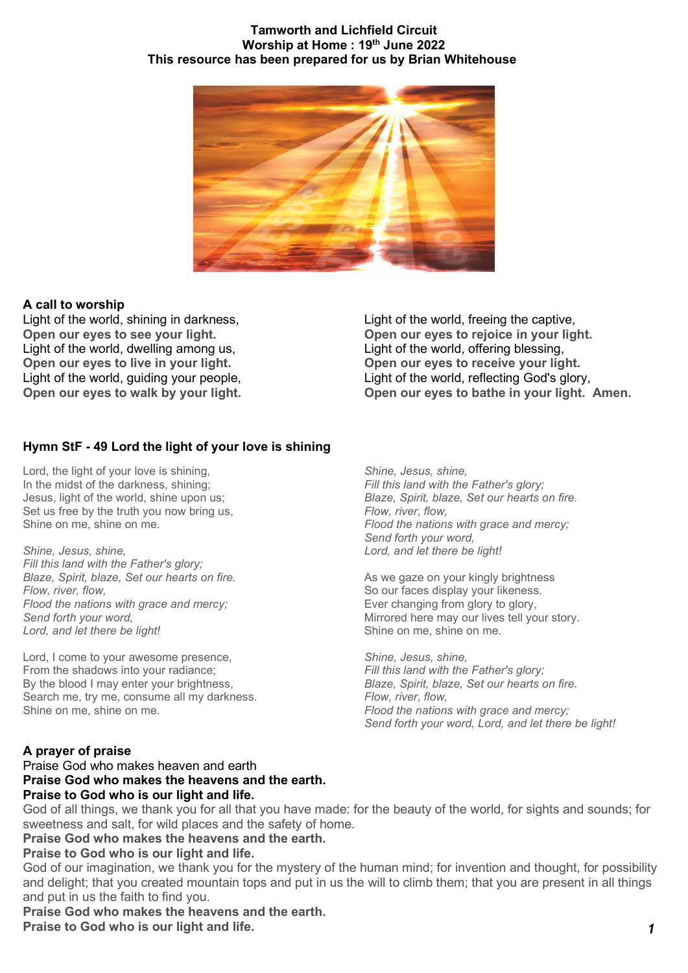### Tamworth and Lichfield Circuit Worship at Home: 19th June 2022 This resource has been prepared for us by Brian Whitehouse



## A call to worship

Light of the world, shining in darkness, Open our eyes to see your light. Light of the world, dwelling among us, Open our eyes to live in your light. Light of the world, guiding your people, Open our eyes to walk by your light.

Light of the world, freeing the captive, Open our eyes to rejoice in your light. Light of the world, offering blessing, Open our eyes to receive your light. Light of the world, reflecting God's glory, Open our eyes to bathe in your light. Amen.

# Hymn StF - 49 Lord the light of your love is shining

Lord, the light of your love is shining, In the midst of the darkness, shining; Jesus, light of the world, shine upon us; Set us free by the truth you now bring us, Shine on me, shine on me.

Shine, Jesus, shine, Fill this land with the Father's glory: Blaze, Spirit, blaze, Set our hearts on fire. Flow, river, flow, Flood the nations with grace and mercy; Send forth your word, Lord, and let there be light!

Lord, I come to your awesome presence, From the shadows into your radiance; By the blood I may enter your brightness, Search me, try me, consume all my darkness. Shine on me, shine on me.

#### Shine, Jesus, shine, Fill this land with the Father's glory; Blaze, Spirit, blaze, Set our hearts on fire. Flow, river, flow, Flood the nations with grace and mercy; Send forth your word, Lord, and let there be light!

As we gaze on your kingly brightness So our faces display your likeness. Ever changing from glory to glory, Mirrored here may our lives tell your story. Shine on me, shine on me.

Shine, Jesus, shine, Fill this land with the Father's glory; Blaze, Spirit, blaze, Set our hearts on fire. Flow, river, flow, Flood the nations with grace and mercy; Send forth your word, Lord, and let there be light!

# A prayer of praise

#### Praise God who makes heaven and earth Praise God who makes the heavens and the earth. Praise to God who is our light and life.

God of all things, we thank you for all that you have made: for the beauty of the world, for sights and sounds; for sweetness and salt, for wild places and the safety of home.

#### Praise God who makes the heavens and the earth.

#### Praise to God who is our light and life.

God of our imagination, we thank you for the mystery of the human mind; for invention and thought, for possibility and delight; that you created mountain tops and put in us the will to climb them; that you are present in all things and put in us the faith to find you.

Praise God who makes the heavens and the earth.

Praise to God who is our light and life. 1 and 200 minutes of the state of the state of the state of the state of the state of the state of the state of the state of the state of the state of the state of the state of the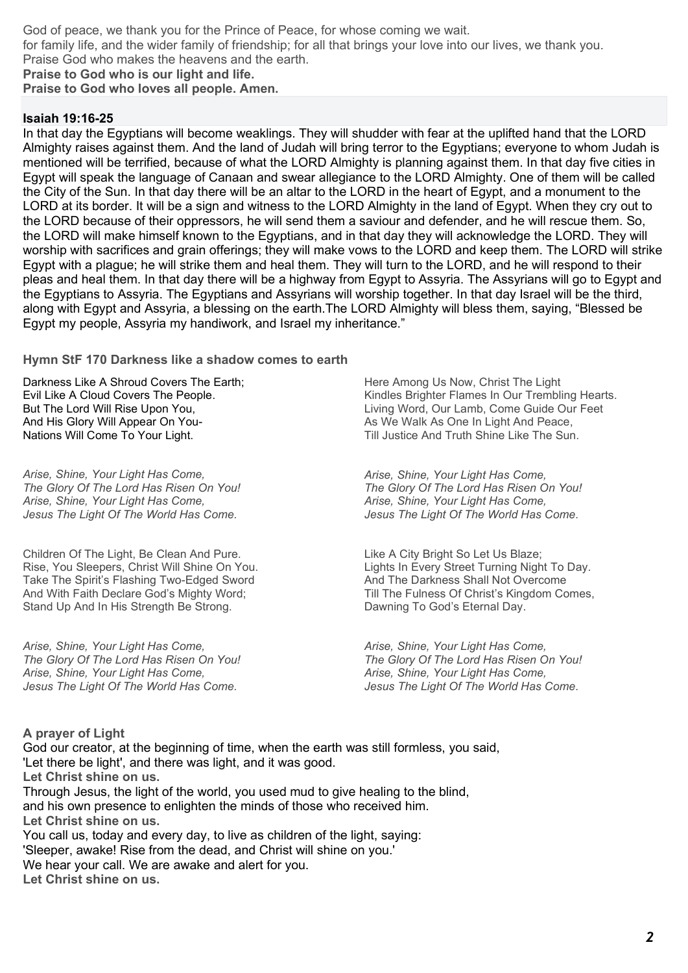God of peace, we thank you for the Prince of Peace, for whose coming we wait. for family life, and the wider family of friendship; for all that brings your love into our lives, we thank you. Praise God who makes the heavens and the earth. Praise to God who is our light and life. Praise to God who loves all people. Amen.

# Isaiah 19:16-25

In that day the Egyptians will become weaklings. They will shudder with fear at the uplifted hand that the LORD Almighty raises against them. And the land of Judah will bring terror to the Egyptians; everyone to whom Judah is mentioned will be terrified, because of what the LORD Almighty is planning against them. In that day five cities in Egypt will speak the language of Canaan and swear allegiance to the LORD Almighty. One of them will be called the City of the Sun. In that day there will be an altar to the LORD in the heart of Egypt, and a monument to the LORD at its border. It will be a sign and witness to the LORD Almighty in the land of Egypt. When they cry out to the LORD because of their oppressors, he will send them a saviour and defender, and he will rescue them. So, the LORD will make himself known to the Egyptians, and in that day they will acknowledge the LORD. They will worship with sacrifices and grain offerings; they will make vows to the LORD and keep them. The LORD will strike Egypt with a plague; he will strike them and heal them. They will turn to the LORD, and he will respond to their pleas and heal them. In that day there will be a highway from Egypt to Assyria. The Assyrians will go to Egypt and the Egyptians to Assyria. The Egyptians and Assyrians will worship together. In that day Israel will be the third, along with Egypt and Assyria, a blessing on the earth.The LORD Almighty will bless them, saying, "Blessed be Egypt my people, Assyria my handiwork, and Israel my inheritance."

Hymn StF 170 Darkness like a shadow comes to earth

Darkness Like A Shroud Covers The Earth; Evil Like A Cloud Covers The People. But The Lord Will Rise Upon You, And His Glory Will Appear On You-Nations Will Come To Your Light.

Arise, Shine, Your Light Has Come, The Glory Of The Lord Has Risen On You! Arise, Shine, Your Light Has Come, Jesus The Light Of The World Has Come.

Children Of The Light, Be Clean And Pure. Rise, You Sleepers, Christ Will Shine On You. Take The Spirit's Flashing Two-Edged Sword And With Faith Declare God's Mighty Word; Stand Up And In His Strength Be Strong.

Arise, Shine, Your Light Has Come, The Glory Of The Lord Has Risen On You! Arise, Shine, Your Light Has Come, Jesus The Light Of The World Has Come.

Here Among Us Now, Christ The Light Kindles Brighter Flames In Our Trembling Hearts. Living Word, Our Lamb, Come Guide Our Feet As We Walk As One In Light And Peace, Till Justice And Truth Shine Like The Sun.

Arise, Shine, Your Light Has Come, The Glory Of The Lord Has Risen On You! Arise, Shine, Your Light Has Come, Jesus The Light Of The World Has Come.

Like A City Bright So Let Us Blaze; Lights In Every Street Turning Night To Day. And The Darkness Shall Not Overcome Till The Fulness Of Christ's Kingdom Comes, Dawning To God's Eternal Day.

Arise, Shine, Your Light Has Come, The Glory Of The Lord Has Risen On You! Arise, Shine, Your Light Has Come, Jesus The Light Of The World Has Come.

A prayer of Light

God our creator, at the beginning of time, when the earth was still formless, you said, 'Let there be light', and there was light, and it was good. Let Christ shine on us. Through Jesus, the light of the world, you used mud to give healing to the blind, and his own presence to enlighten the minds of those who received him. Let Christ shine on us. You call us, today and every day, to live as children of the light, saying: 'Sleeper, awake! Rise from the dead, and Christ will shine on you.' We hear your call. We are awake and alert for you. Let Christ shine on us.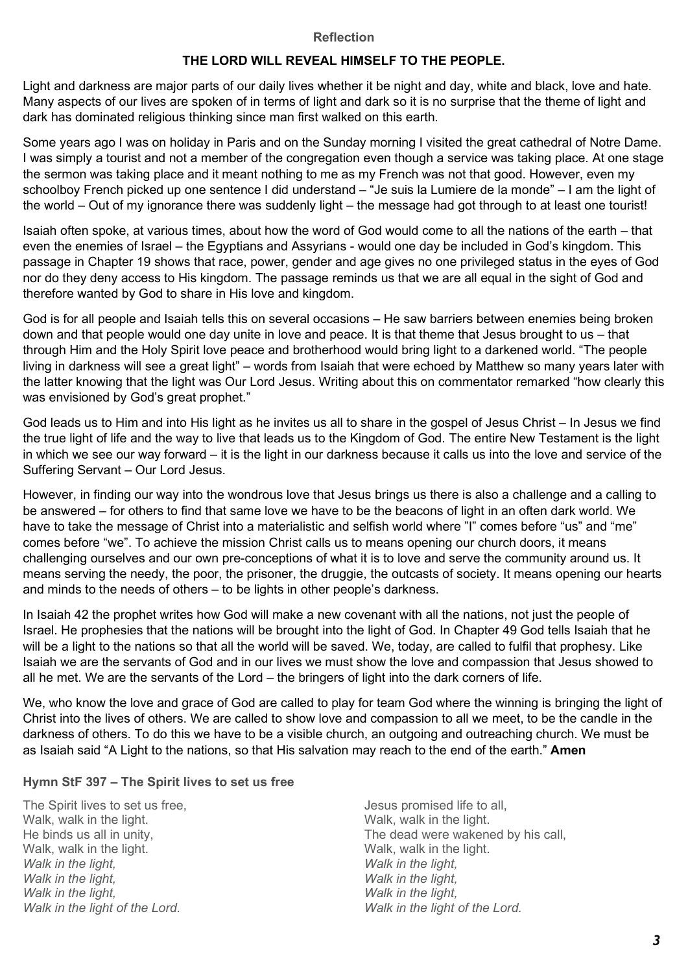#### Reflection

### THE LORD WILL REVEAL HIMSELF TO THE PEOPLE.

Light and darkness are major parts of our daily lives whether it be night and day, white and black, love and hate. Many aspects of our lives are spoken of in terms of light and dark so it is no surprise that the theme of light and dark has dominated religious thinking since man first walked on this earth.

Some years ago I was on holiday in Paris and on the Sunday morning I visited the great cathedral of Notre Dame. I was simply a tourist and not a member of the congregation even though a service was taking place. At one stage the sermon was taking place and it meant nothing to me as my French was not that good. However, even my schoolboy French picked up one sentence I did understand – "Je suis la Lumiere de la monde" – I am the light of the world – Out of my ignorance there was suddenly light – the message had got through to at least one tourist!

Isaiah often spoke, at various times, about how the word of God would come to all the nations of the earth – that even the enemies of Israel – the Egyptians and Assyrians - would one day be included in God's kingdom. This passage in Chapter 19 shows that race, power, gender and age gives no one privileged status in the eyes of God nor do they deny access to His kingdom. The passage reminds us that we are all equal in the sight of God and therefore wanted by God to share in His love and kingdom.

God is for all people and Isaiah tells this on several occasions – He saw barriers between enemies being broken down and that people would one day unite in love and peace. It is that theme that Jesus brought to us – that through Him and the Holy Spirit love peace and brotherhood would bring light to a darkened world. "The people living in darkness will see a great light" – words from Isaiah that were echoed by Matthew so many years later with the latter knowing that the light was Our Lord Jesus. Writing about this on commentator remarked "how clearly this was envisioned by God's great prophet."

God leads us to Him and into His light as he invites us all to share in the gospel of Jesus Christ – In Jesus we find the true light of life and the way to live that leads us to the Kingdom of God. The entire New Testament is the light in which we see our way forward – it is the light in our darkness because it calls us into the love and service of the Suffering Servant – Our Lord Jesus.

However, in finding our way into the wondrous love that Jesus brings us there is also a challenge and a calling to be answered – for others to find that same love we have to be the beacons of light in an often dark world. We have to take the message of Christ into a materialistic and selfish world where "I" comes before "us" and "me" comes before "we". To achieve the mission Christ calls us to means opening our church doors, it means challenging ourselves and our own pre-conceptions of what it is to love and serve the community around us. It means serving the needy, the poor, the prisoner, the druggie, the outcasts of society. It means opening our hearts and minds to the needs of others – to be lights in other people's darkness.

In Isaiah 42 the prophet writes how God will make a new covenant with all the nations, not just the people of Israel. He prophesies that the nations will be brought into the light of God. In Chapter 49 God tells Isaiah that he will be a light to the nations so that all the world will be saved. We, today, are called to fulfil that prophesy. Like Isaiah we are the servants of God and in our lives we must show the love and compassion that Jesus showed to all he met. We are the servants of the Lord – the bringers of light into the dark corners of life.

We, who know the love and grace of God are called to play for team God where the winning is bringing the light of Christ into the lives of others. We are called to show love and compassion to all we meet, to be the candle in the darkness of others. To do this we have to be a visible church, an outgoing and outreaching church. We must be as Isaiah said "A Light to the nations, so that His salvation may reach to the end of the earth." Amen

## Hymn StF 397 – The Spirit lives to set us free

The Spirit lives to set us free, Walk, walk in the light. He binds us all in unity, Walk, walk in the light. Walk in the light, Walk in the light, Walk in the light, Walk in the light of the Lord.

Jesus promised life to all, Walk, walk in the light. The dead were wakened by his call, Walk, walk in the light. Walk in the light, Walk in the light, Walk in the light, Walk in the light of the Lord.